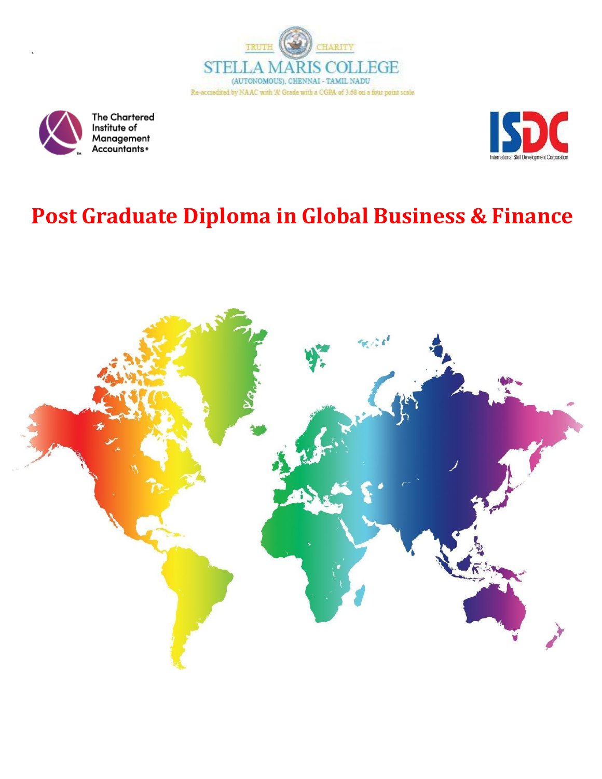



`

**The Chartered** Institute of Management<br>Accountants\*



# **Post Graduate Diploma in Global Business & Finance**

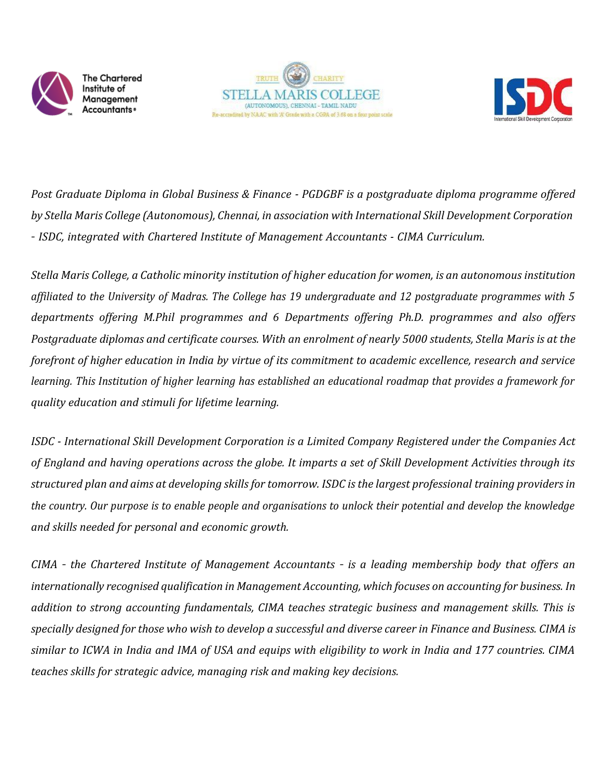





*Post Graduate Diploma in Global Business & Finance - PGDGBF is a postgraduate diploma programme offered by Stella Maris College (Autonomous), Chennai, in association with International Skill Development Corporation – ISDC, integrated with Chartered Institute of Management Accountants - CIMA Curriculum.*

Stella Maris College, a Catholic minority institution of higher education for women, is an autonomous institution *affiliated to the University of Madras. The College has 19 undergraduate and 12 postgraduate programmes with 5 departments offering M.Phil programmes and 6 Departments offering Ph.D. programmes and also offers* Postgraduate diplomas and certificate courses. With an enrolment of nearly 5000 students, Stella Maris is at the *forefront of higher education in India by virtue of its commitment to academic excellence, research and service learning. This Institution of higher learning has established an educational roadmap that provides a framework for quality education and stimuli for lifetime learning.*

*ISDC - International Skill Development Corporation is a Limited Company Registered under the Companies Act of England and having operations across the globe. It imparts a set of Skill Development Activities through its* structured plan and aims at developing skills for tomorrow. ISDC is the largest professional training providers in *the country. Our purpose is to enable people and organisations to unlock their potential and develop the knowledge and skills needed for personal and economic growth.*

*CIMA – the Chartered Institute of Management Accountants – is a leading membership body that offers an internationally recognised qualification in Management Accounting, which focuses on accounting for business. In addition to strong accounting fundamentals, CIMA teaches strategic business and management skills. This is* specially designed for those who wish to develop a successful and diverse career in Finance and Business. CIMA is *similar to ICWA in India and IMA of USA and equips with eligibility to work in India and 177 countries. CIMA teaches skills for strategic advice, managing risk and making key decisions.*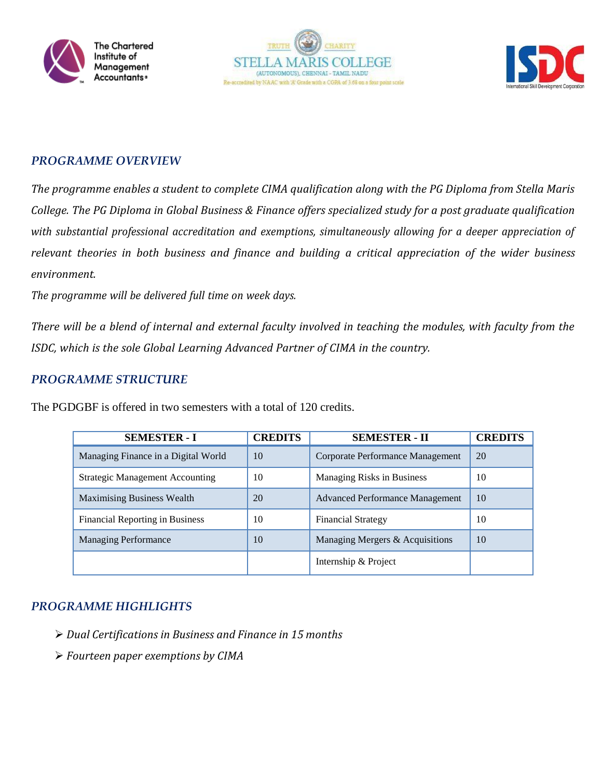





## *PROGRAMME OVERVIEW*

*The programme enables a student to complete CIMA qualification along with the PG Diploma from Stella Maris College. The PG Diploma in Global Business & Finance offers specialized study for a post graduate qualification with substantial professional accreditation and exemptions, simultaneously allowing for a deeper appreciation of relevant theories in both business and finance and building a critical appreciation of the wider business environment.*

*The programme will be delivered full time on week days.*

*There will be a blend of internal and external faculty involved in teaching the modules, with faculty from the ISDC, which is the sole Global Learning Advanced Partner of CIMA in the country.*

## *PROGRAMME STRUCTURE*

| <b>SEMESTER - I</b>                    | <b>CREDITS</b> | <b>SEMESTER - II</b>                   | <b>CREDITS</b> |
|----------------------------------------|----------------|----------------------------------------|----------------|
| Managing Finance in a Digital World    | 10             | Corporate Performance Management       | 20             |
| <b>Strategic Management Accounting</b> | 10             | <b>Managing Risks in Business</b>      | 10             |
| <b>Maximising Business Wealth</b>      | 20             | <b>Advanced Performance Management</b> | 10             |
| <b>Financial Reporting in Business</b> | 10             | <b>Financial Strategy</b>              | 10             |
| <b>Managing Performance</b>            | 10             | Managing Mergers & Acquisitions        | 10             |
|                                        |                | Internship & Project                   |                |

## *PROGRAMME HIGHLIGHTS*

- *Dual Certifications in Business and Finance in 15 months*
- *Fourteen paper exemptions by CIMA*